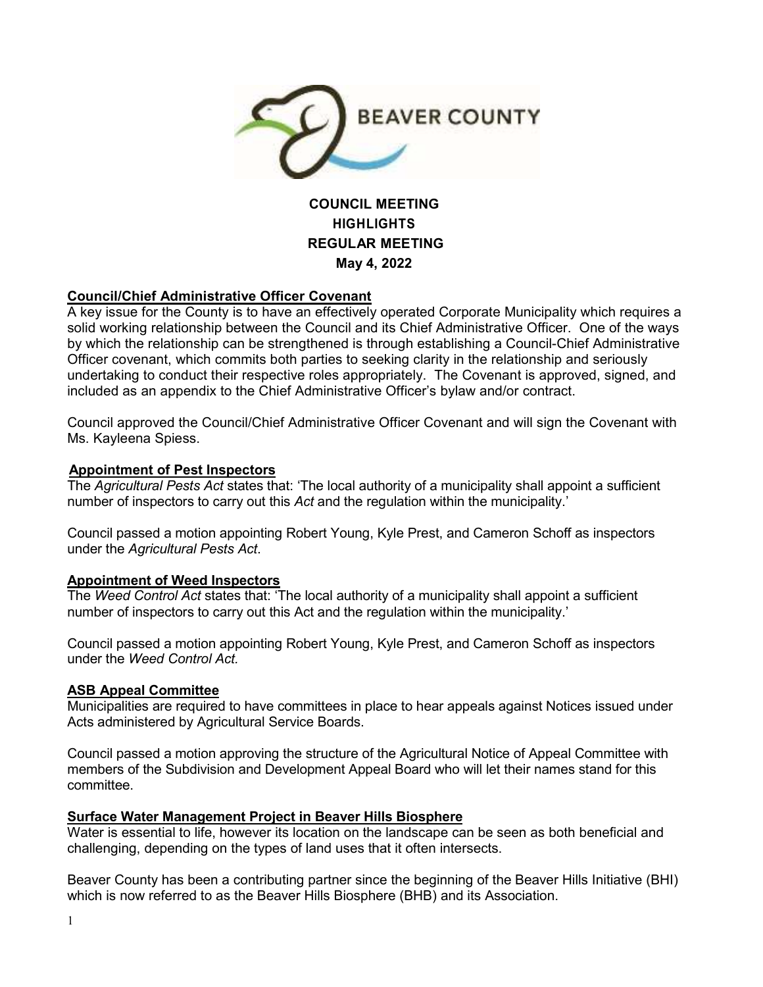

# **COUNCIL MEETING HIGHLIGHTS REGULAR MEETING May 4, 2022**

## **Council/Chief Administrative Officer Covenant**

A key issue for the County is to have an effectively operated Corporate Municipality which requires a solid working relationship between the Council and its Chief Administrative Officer. One of the ways by which the relationship can be strengthened is through establishing a Council-Chief Administrative Officer covenant, which commits both parties to seeking clarity in the relationship and seriously undertaking to conduct their respective roles appropriately. The Covenant is approved, signed, and included as an appendix to the Chief Administrative Officer's bylaw and/or contract.

Council approved the Council/Chief Administrative Officer Covenant and will sign the Covenant with Ms. Kayleena Spiess.

### **Appointment of Pest Inspectors**

The *Agricultural Pests Act* states that: 'The local authority of a municipality shall appoint a sufficient number of inspectors to carry out this *Act* and the regulation within the municipality.'

Council passed a motion appointing Robert Young, Kyle Prest, and Cameron Schoff as inspectors under the *Agricultural Pests Act*.

### **Appointment of Weed Inspectors**

The *Weed Control Act* states that: 'The local authority of a municipality shall appoint a sufficient number of inspectors to carry out this Act and the regulation within the municipality.'

Council passed a motion appointing Robert Young, Kyle Prest, and Cameron Schoff as inspectors under the *Weed Control Act.*

### **ASB Appeal Committee**

Municipalities are required to have committees in place to hear appeals against Notices issued under Acts administered by Agricultural Service Boards.

Council passed a motion approving the structure of the Agricultural Notice of Appeal Committee with members of the Subdivision and Development Appeal Board who will let their names stand for this committee.

### **Surface Water Management Project in Beaver Hills Biosphere**

Water is essential to life, however its location on the landscape can be seen as both beneficial and challenging, depending on the types of land uses that it often intersects.

Beaver County has been a contributing partner since the beginning of the Beaver Hills Initiative (BHI) which is now referred to as the Beaver Hills Biosphere (BHB) and its Association.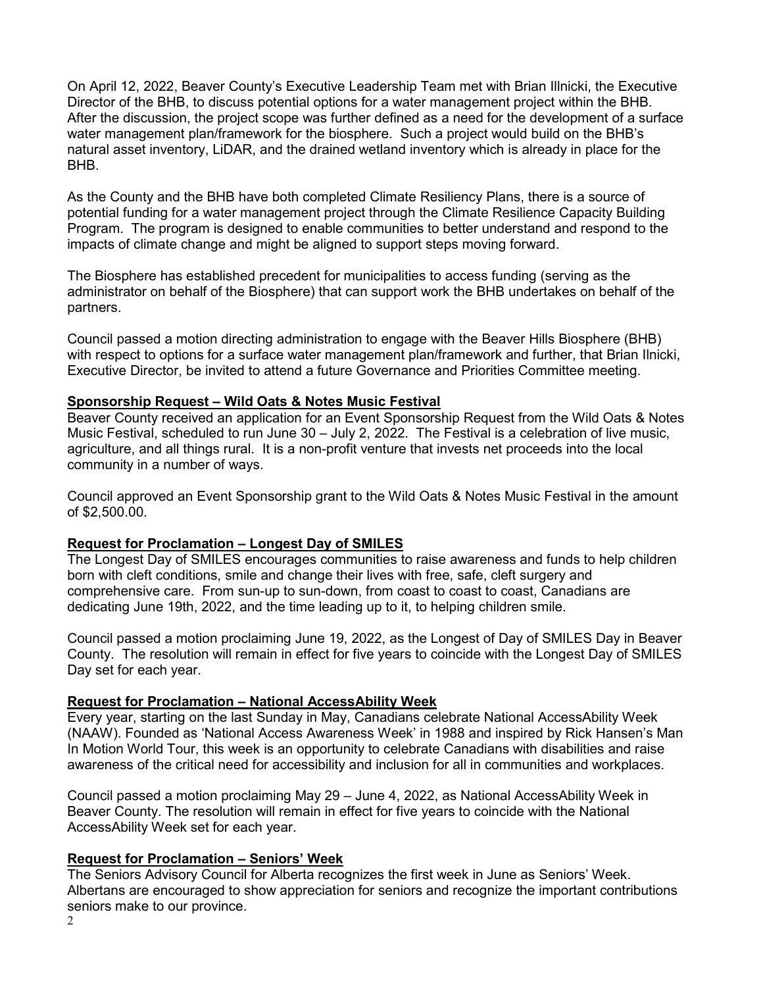On April 12, 2022, Beaver County's Executive Leadership Team met with Brian Illnicki, the Executive Director of the BHB, to discuss potential options for a water management project within the BHB. After the discussion, the project scope was further defined as a need for the development of a surface water management plan/framework for the biosphere. Such a project would build on the BHB's natural asset inventory, LiDAR, and the drained wetland inventory which is already in place for the BHB.

As the County and the BHB have both completed Climate Resiliency Plans, there is a source of potential funding for a water management project through the Climate Resilience Capacity Building Program. The program is designed to enable communities to better understand and respond to the impacts of climate change and might be aligned to support steps moving forward.

The Biosphere has established precedent for municipalities to access funding (serving as the administrator on behalf of the Biosphere) that can support work the BHB undertakes on behalf of the partners.

Council passed a motion directing administration to engage with the Beaver Hills Biosphere (BHB) with respect to options for a surface water management plan/framework and further, that Brian Ilnicki, Executive Director, be invited to attend a future Governance and Priorities Committee meeting.

### **Sponsorship Request – Wild Oats & Notes Music Festival**

Beaver County received an application for an Event Sponsorship Request from the Wild Oats & Notes Music Festival, scheduled to run June 30 – July 2, 2022. The Festival is a celebration of live music, agriculture, and all things rural. It is a non-profit venture that invests net proceeds into the local community in a number of ways.

Council approved an Event Sponsorship grant to the Wild Oats & Notes Music Festival in the amount of \$2,500.00.

### **Request for Proclamation – Longest Day of SMILES**

The Longest Day of SMILES encourages communities to raise awareness and funds to help children born with cleft conditions, smile and change their lives with free, safe, cleft surgery and comprehensive care. From sun-up to sun-down, from coast to coast to coast, Canadians are dedicating June 19th, 2022, and the time leading up to it, to helping children smile.

Council passed a motion proclaiming June 19, 2022, as the Longest of Day of SMILES Day in Beaver County. The resolution will remain in effect for five years to coincide with the Longest Day of SMILES Day set for each year.

### **Request for Proclamation – National AccessAbility Week**

Every year, starting on the last Sunday in May, Canadians celebrate National AccessAbility Week (NAAW). Founded as 'National Access Awareness Week' in 1988 and inspired by Rick Hansen's Man In Motion World Tour, this week is an opportunity to celebrate Canadians with disabilities and raise awareness of the critical need for accessibility and inclusion for all in communities and workplaces.

Council passed a motion proclaiming May 29 – June 4, 2022, as National AccessAbility Week in Beaver County. The resolution will remain in effect for five years to coincide with the National AccessAbility Week set for each year.

### **Request for Proclamation – Seniors' Week**

The Seniors Advisory Council for Alberta recognizes the first week in June as Seniors' Week. Albertans are encouraged to show appreciation for seniors and recognize the important contributions seniors make to our province.